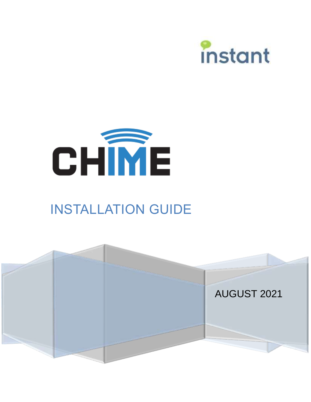



# INSTALLATION GUIDE

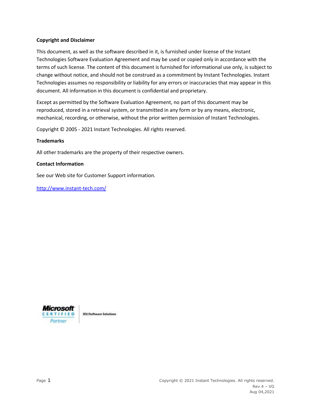#### **Copyright and Disclaimer**

This document, as well as the software described in it, is furnished under license of the Instant Technologies Software Evaluation Agreement and may be used or copied only in accordance with the terms of such license. The content of this document is furnished for informational use only, is subject to change without notice, and should not be construed as a commitment by Instant Technologies. Instant Technologies assumes no responsibility or liability for any errors or inaccuracies that may appear in this document. All information in this document is confidential and proprietary.

Except as permitted by the Software Evaluation Agreement, no part of this document may be reproduced, stored in a retrieval system, or transmitted in any form or by any means, electronic, mechanical, recording, or otherwise, without the prior written permission of Instant Technologies.

Copyright © 2005 - 2021 Instant Technologies. All rights reserved.

# **Trademarks**

All other trademarks are the property of their respective owners.

#### **Contact Information**

See our Web site for Customer Support information.

<http://www.instant-tech.com/>



**ISV/Software Solutions**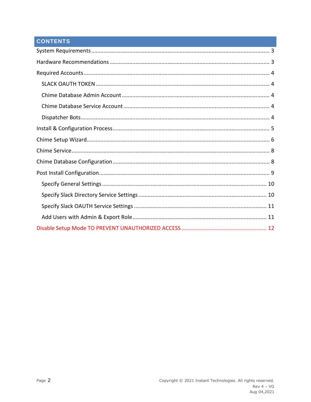# **CONTENTS**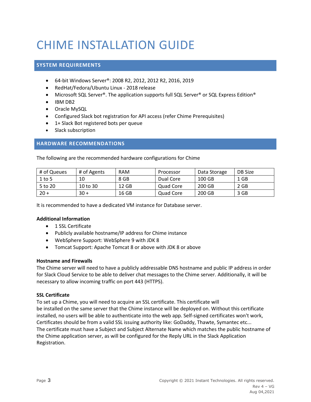# CHIME INSTALLATION GUIDE

# <span id="page-3-0"></span>**SYSTEM REQUIREMENTS**

- 64-bit Windows Server®: 2008 R2, 2012, 2012 R2, 2016, 2019
- RedHat/Fedora/Ubuntu Linux 2018 release
- Microsoft SQL Server®. The application supports full SQL Server® or SQL Express Edition®
- IBM DB2
- Oracle MySQL
- Configured Slack bot registration for API access (refer Chime Prerequisites)
- 1+ Slack Bot registered bots per queue
- Slack subscription

# <span id="page-3-1"></span>**HARDWARE RECOMMENDATIONS**

The following are the recommended hardware configurations for Chime

| # of Queues | # of Agents | <b>RAM</b> | Processor | Data Storage | DB Size |
|-------------|-------------|------------|-----------|--------------|---------|
| $1$ to 5    | 10          | 8 GB       | Dual Core | 100 GB       | 1 GB    |
| 5 to 20     | 10 to 30    | 12 GB      | Quad Core | 200 GB       | 2 GB    |
| $20 +$      | $30 +$      | 16 GB      | Quad Core | 200 GB       | 3 GB    |

It is recommended to have a dedicated VM instance for Database server.

# **Additional Information**

- 1 SSL Certificate
- Publicly available hostname/IP address for Chime instance
- WebSphere Support: WebSphere 9 with JDK 8
- Tomcat Support: Apache Tomcat 8 or above with JDK 8 or above

# **Hostname and Firewalls**

The Chime server will need to have a publicly addressable DNS hostname and public IP address in order for Slack Cloud Service to be able to deliver chat messages to the Chime server. Additionally, it will be necessary to allow incoming traffic on port 443 (HTTPS).

# **SSL Certificate**

To set up a Chime, you will need to acquire an SSL certificate. This certificate will be installed on the same server that the Chime instance will be deployed on. Without this certificate installed, no users will be able to authenticate into the web app. Self-signed certificates won't work, Certificates should be from a valid SSL issuing authority like: GoDaddy, Thawte, Symantec etc... The certificate must have a Subject and Subject Alternate Name which matches the public hostname of the Chime application server, as will be configured for the Reply URL in the Slack Application Registration.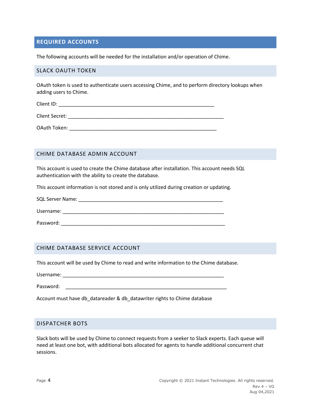# <span id="page-4-0"></span>**REQUIRED ACCOUNTS**

<span id="page-4-1"></span>The following accounts will be needed for the installation and/or operation of Chime.

#### SLACK OAUTH TOKEN

OAuth token is used to authenticate users accessing Chime, and to perform directory lookups when adding users to Chime.

Client ID:  $\Box$ 

Client Secret: **Example 20**  $\overline{a}$  and  $\overline{b}$  and  $\overline{c}$  and  $\overline{c}$  and  $\overline{c}$  and  $\overline{c}$  and  $\overline{c}$  and  $\overline{c}$  and  $\overline{c}$  and  $\overline{c}$  and  $\overline{c}$  and  $\overline{c}$  and  $\overline{c}$  and  $\overline{c}$  and  $\overline{c}$  and

OAuth Token: \_\_\_\_\_\_\_\_\_\_\_\_\_\_\_\_\_\_\_\_\_\_\_\_\_\_\_\_\_\_\_\_\_\_\_\_\_\_\_\_\_\_\_\_\_\_\_\_\_\_\_\_\_

# <span id="page-4-2"></span>CHIME DATABASE ADMIN ACCOUNT

This account is used to create the Chime database after installation. This account needs SQL authentication with the ability to create the database.

This account information is not stored and is only utilized during creation or updating.

SQL Server Name: \_\_\_\_\_\_\_\_\_\_\_\_\_\_\_\_\_\_\_\_\_\_\_\_\_\_\_\_\_\_\_\_\_\_\_\_\_\_\_\_\_\_\_\_\_\_\_\_\_\_\_\_

Username: \_\_\_\_\_\_\_\_\_\_\_\_\_\_\_\_\_\_\_\_\_\_\_\_\_\_\_\_\_\_\_\_\_\_\_\_\_\_\_\_\_\_\_\_\_\_\_\_\_\_\_\_\_\_\_\_\_\_

Password:  $\blacksquare$ 

# <span id="page-4-3"></span>CHIME DATABASE SERVICE ACCOUNT

This account will be used by Chime to read and write information to the Chime database.

Username: \_\_\_\_\_\_\_\_\_\_\_\_\_\_\_\_\_\_\_\_\_\_\_\_\_\_\_\_\_\_\_\_\_\_\_\_\_\_\_\_\_\_\_\_\_\_\_\_\_\_\_\_\_\_\_\_\_\_

Password:  $\blacksquare$ 

Account must have db\_datareader & db\_datawriter rights to Chime database

# <span id="page-4-4"></span>DISPATCHER BOTS

Slack bots will be used by Chime to connect requests from a seeker to Slack experts. Each queue will need at least one bot, with additional bots allocated for agents to handle additional concurrent chat sessions.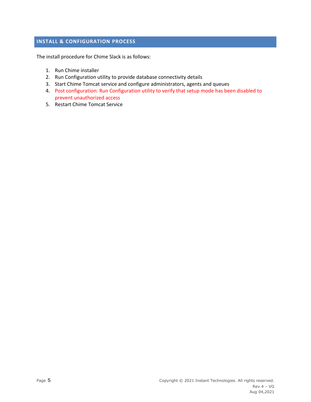# <span id="page-5-0"></span>**INSTALL & CONFIGURATION PROCESS**

The install procedure for Chime Slack is as follows:

- 1. Run Chime installer
- 2. Run Configuration utility to provide database connectivity details
- 3. Start Chime Tomcat service and configure administrators, agents and queues
- 4. Post configuration: Run Configuration utility to verify that setup mode has been disabled to prevent unauthorized access
- 5. Restart Chime Tomcat Service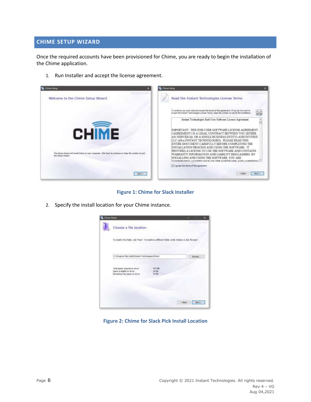# <span id="page-6-0"></span>**CHIME SETUP WIZARD**

Once the required accounts have been provisioned for Chime, you are ready to begin the installation of the Chime application.

1. Run Installer and accept the license agreement.



**Figure 1: Chime for Slack Installer**

2. Specify the install location for your Chime instance.



**Figure 2: Chime for Slack Pick Install Location**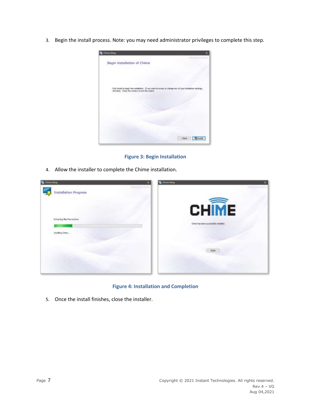3. Begin the install process. Note: you may need administrator privileges to complete this step.



**Figure 3: Begin Installation**

4. Allow the installer to complete the Chime installation.



**Figure 4: Installation and Completion**

5. Once the install finishes, close the installer.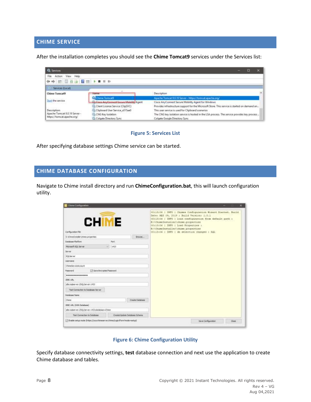# <span id="page-8-0"></span>**CHIME SERVICE**

After the installation completes you should see the **Chime Tomcat9** services under the Services list:

| <b>Q</b> Services             |                                           |                                                                                               |  |
|-------------------------------|-------------------------------------------|-----------------------------------------------------------------------------------------------|--|
| View Help<br>File             |                                           |                                                                                               |  |
| <b>←→ 団団公園 図面 ▶■Ⅱ ▶</b>       |                                           |                                                                                               |  |
| Services (Local)              |                                           |                                                                                               |  |
| <b>Chime Tomcat9</b>          | <b>Low Friday</b>                         | <b>Description</b>                                                                            |  |
|                               | <b>Chime Tomcato</b>                      | Apache Tomcat 9.0.19 Server - https://tomcat.apache.org/                                      |  |
| Start the service             | in Gaco Any Connect Socure Mobility Agent | Eisco AnyConnect Secure Mobility Agent for Windows                                            |  |
|                               | Client License Service (ClipSVC)          | Provides infrastructure support for the Microsoft Store. This service is started on demand an |  |
| Description:                  | Ch Clipboard User Service a515an0         | This user service is used for Clipboard scenarios                                             |  |
| Apache Tomcat 9.0.19 Server - | <b>EL CNG Key Isolation</b>               | The CNG key isolation service is hosted in the LSA process. The service provides key process  |  |
| https://tomcat.apache.org/    | Colgate Directory Sync                    | Calgate Google Directory Sync.                                                                |  |



After specifying database settings Chime service can be started.

# <span id="page-8-1"></span>**CHIME DATABASE CONFIGURATION**

Navigate to Chime install directory and run **ChimeConfiguration.bat**, this will launch configuration utility.

| <b>CHIME</b><br>Configuration File            |               |                               | 00:13:06   INFO   Chimes Configuration Wigard Started, Build<br>Date: MAY 09, 2019 / Build Version: 1.0.1<br>00:13:06   INFO   load configuration from default path :<br>Er\ChineInstaller\chime.properties<br>GOILBIDE   INFO   Load Properties :<br>E:\ChineInstaller\chine.pdoperties<br>00:13:04 ) IMPO   db selection changed   SQL |
|-----------------------------------------------|---------------|-------------------------------|------------------------------------------------------------------------------------------------------------------------------------------------------------------------------------------------------------------------------------------------------------------------------------------------------------------------------------------|
| E: K/Wreshstaller's/twine properties          |               | Browsk                        |                                                                                                                                                                                                                                                                                                                                          |
| Database Mathew.                              | lky1          |                               |                                                                                                                                                                                                                                                                                                                                          |
| Murosoft SQL Server                           | $-1433$<br>w. |                               |                                                                                                                                                                                                                                                                                                                                          |
| Server                                        |               |                               |                                                                                                                                                                                                                                                                                                                                          |
| SCES arver                                    |               |                               |                                                                                                                                                                                                                                                                                                                                          |
| <b>UGAINWAY</b>                               |               |                               |                                                                                                                                                                                                                                                                                                                                          |
| ChineServiceAccount                           |               |                               |                                                                                                                                                                                                                                                                                                                                          |
| 5 Save Entryphed Password<br>Pannword         |               |                               |                                                                                                                                                                                                                                                                                                                                          |
| *****************                             |               |                               |                                                                                                                                                                                                                                                                                                                                          |
| <b>JOBC LBS</b>                               |               |                               |                                                                                                                                                                                                                                                                                                                                          |
| ideoaberver//50.5erver.1431                   |               |                               |                                                                                                                                                                                                                                                                                                                                          |
| Test Connection to Database Server            |               |                               |                                                                                                                                                                                                                                                                                                                                          |
| Database Name                                 |               |                               |                                                                                                                                                                                                                                                                                                                                          |
| <b>Cluster</b>                                |               | Clearly Culturiane            |                                                                                                                                                                                                                                                                                                                                          |
| IDEC URL (W/fr Database)                      |               |                               |                                                                                                                                                                                                                                                                                                                                          |
| idiosabetver.//SQLterver.1403statatase=Chine. |               |                               |                                                                                                                                                                                                                                                                                                                                          |
| Test Connection to Database                   |               | Create/Update Database Schema |                                                                                                                                                                                                                                                                                                                                          |

#### **Figure 6: Chime Configuration Utility**

Specify database connectivity settings, **test** database connection and next use the application to create Chime database and tables.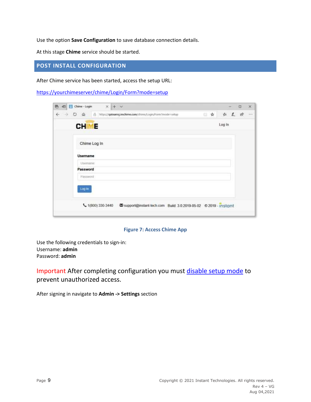Use the option **Save Configuration** to save database connection details.

<span id="page-9-0"></span>At this stage **Chime** service should be started.

# **POST INSTALL CONFIGURATION**

After Chime service has been started, access the setup URL:

<https://yourchimeserver/chime/Login/Form?mode=setup>

|                   | 也 Chime - Login | $x + y$                                                 |  |  |  |                                                                 |  |  |  |  |        |          | $\Box$ | ×                           |
|-------------------|-----------------|---------------------------------------------------------|--|--|--|-----------------------------------------------------------------|--|--|--|--|--------|----------|--------|-----------------------------|
| €<br>$\circ$<br>÷ | ିଲ              | https://qateamsjamchime.com/chime/Login/Form?mude=setup |  |  |  |                                                                 |  |  |  |  |        | □☆ ☆ 人 ☆ |        | $\mathcal{L}_{\mathcal{A}}$ |
|                   | <b>CHIME</b>    |                                                         |  |  |  |                                                                 |  |  |  |  | Log In |          |        |                             |
|                   | Chime Log In    |                                                         |  |  |  |                                                                 |  |  |  |  |        |          |        |                             |
|                   | <b>Username</b> |                                                         |  |  |  |                                                                 |  |  |  |  |        |          |        |                             |
|                   | Usersime        |                                                         |  |  |  |                                                                 |  |  |  |  |        |          |        |                             |
|                   | Password        |                                                         |  |  |  |                                                                 |  |  |  |  |        |          |        |                             |
|                   | Password        |                                                         |  |  |  |                                                                 |  |  |  |  |        |          |        |                             |
|                   | Log in          |                                                         |  |  |  |                                                                 |  |  |  |  |        |          |        |                             |
|                   |                 | ₹ 1(800) 330-3440                                       |  |  |  | Support@instant-tech.com Build: 3.0.2019-05-02 © 2019 - instant |  |  |  |  |        |          |        |                             |

#### **Figure 7: Access Chime App**

Use the following credentials to sign-in: Username: **admin** Password: **admin**

Important After completing configuration you must [disable setup mode](#page-12-0) to prevent unauthorized access.

After signing in navigate to **Admin -> Settings** section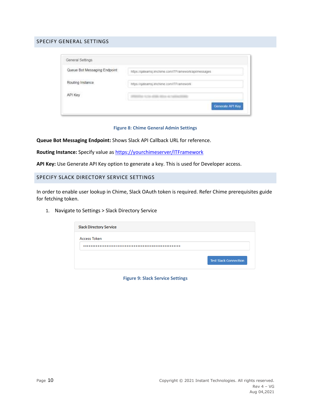# <span id="page-10-0"></span>SPECIFY GENERAL SETTINGS

| General Settings             |                                                       |
|------------------------------|-------------------------------------------------------|
| Queue Bot Messaging Endpoint | https://qateamsj.imchime.com/ITFramework/api/messages |
| Routing Instance             | https://gateamsj.imchime.com/ITFramework              |
| API Key                      | a nota ante, atore le trategime                       |
|                              | Generate API Key                                      |

#### **Figure 8: Chime General Admin Settings**

**Queue Bot Messaging Endpoint:** Shows Slack API Callback URL for reference.

**Routing Instance:** Specify value as<https://yourchimeserver/ITFramework>

<span id="page-10-1"></span>**API Key:** Use Generate API Key option to generate a key. This is used for Developer access.

#### SPECIFY SLACK DIRECTORY SERVICE SETTINGS

In order to enable user lookup in Chime, Slack OAuth token is required. Refer Chime prerequisites guide for fetching token.

1. Navigate to Settings > Slack Directory Service

| <b>Slack Directory Service</b> |                              |
|--------------------------------|------------------------------|
| <b>Access Token</b>            |                              |
| .                              |                              |
|                                | <b>Test Slack Connection</b> |

**Figure 9: Slack Service Settings**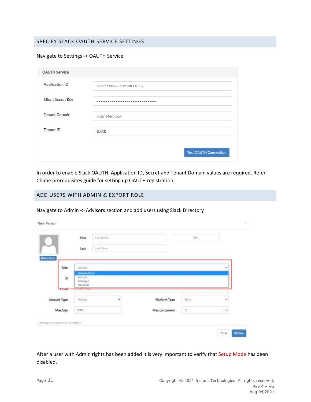# <span id="page-11-0"></span>SPECIFY SLACK OAUTH SERVICE SETTINGS

#### Navigate to Settings -> OAUTH Service

| <b>OAUTH Service</b>     |                              |
|--------------------------|------------------------------|
| <b>Application ID</b>    | 583177988723.619158302982    |
| <b>Client Secret Key</b> |                              |
| <b>Tenant Domain</b>     | instant-tech.com             |
| <b>Tenant ID</b>         | <b>SLACK</b>                 |
|                          | <b>Test OAUTH Connection</b> |

In order to enable Slack OAUTH, Application ID, Secret and Tenant Domain values are required. Refer Chime prerequisites guide for setting up OAUTH registration.

#### <span id="page-11-1"></span>ADD USERS WITH ADMIN & EXPORT ROLE

#### Navigate to Admin -> Advisors section and add users using Slack Directory

|                    | First                                                                                      | First Name |               | Dir    |   |
|--------------------|--------------------------------------------------------------------------------------------|------------|---------------|--------|---|
| <b>C</b> Add Photo | Last                                                                                       | Last Name  |               |        |   |
| Role               | <b>Advisor</b>                                                                             |            |               |        | v |
| ID                 | Administrator<br>Advisor<br>Manager<br>Reviewer<br><b>Continued in the Continued State</b> |            |               |        |   |
| <b>Company</b>     |                                                                                            |            |               |        |   |
|                    | <b>Sections</b><br>Testing                                                                 | ŵ          | Platform Type | stack  | u |
| Account Type       |                                                                                            |            |               | $-2$ . | × |
|                    |                                                                                            |            |               |        |   |

After a user with Admin rights has been added it is very important to verify that Setup Mode has been disabled.